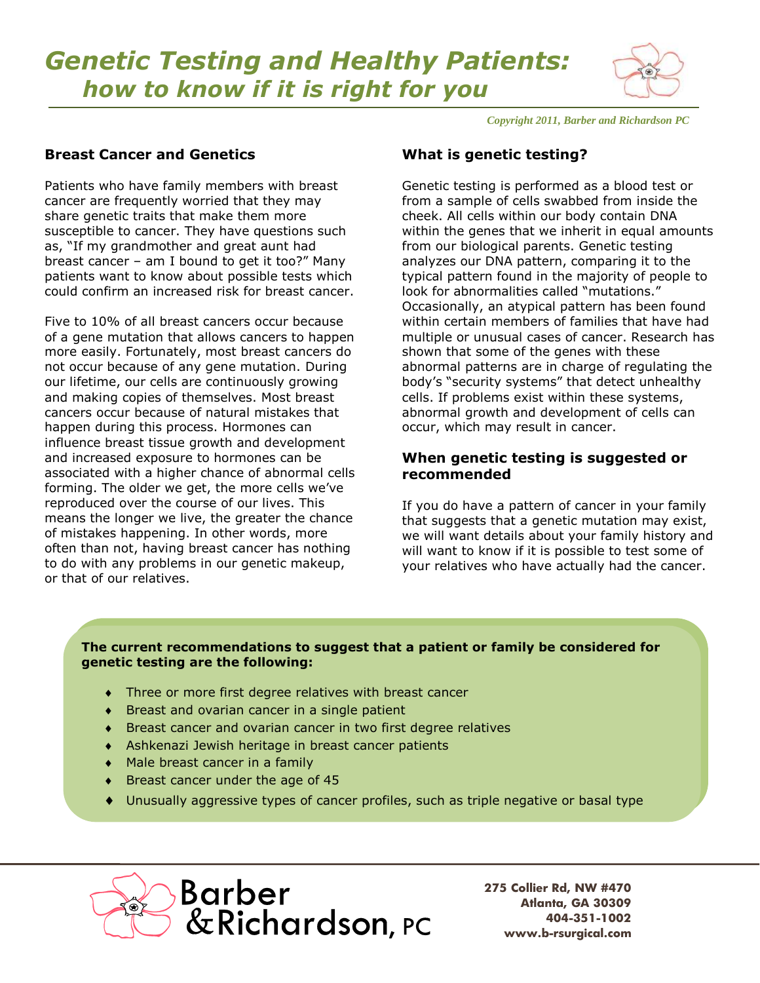# *Genetic Testing and Healthy Patients: how to know if it is right for you*



*Copyright 2011, Barber and Richardson PC*

## **Breast Cancer and Genetics**

Patients who have family members with breast cancer are frequently worried that they may share genetic traits that make them more susceptible to cancer. They have questions such as, "If my grandmother and great aunt had breast cancer – am I bound to get it too?" Many patients want to know about possible tests which could confirm an increased risk for breast cancer.

Five to 10% of all breast cancers occur because of a gene mutation that allows cancers to happen more easily. Fortunately, most breast cancers do not occur because of any gene mutation. During our lifetime, our cells are continuously growing and making copies of themselves. Most breast cancers occur because of natural mistakes that happen during this process. Hormones can influence breast tissue growth and development and increased exposure to hormones can be associated with a higher chance of abnormal cells forming. The older we get, the more cells we've reproduced over the course of our lives. This means the longer we live, the greater the chance of mistakes happening. In other words, more often than not, having breast cancer has nothing to do with any problems in our genetic makeup, or that of our relatives.

# **What is genetic testing?**

Genetic testing is performed as a blood test or from a sample of cells swabbed from inside the cheek. All cells within our body contain DNA within the genes that we inherit in equal amounts from our biological parents. Genetic testing analyzes our DNA pattern, comparing it to the typical pattern found in the majority of people to look for abnormalities called "mutations." Occasionally, an atypical pattern has been found within certain members of families that have had multiple or unusual cases of cancer. Research has shown that some of the genes with these abnormal patterns are in charge of regulating the body's "security systems" that detect unhealthy cells. If problems exist within these systems, abnormal growth and development of cells can occur, which may result in cancer.

#### **When genetic testing is suggested or recommended**

If you do have a pattern of cancer in your family that suggests that a genetic mutation may exist, we will want details about your family history and will want to know if it is possible to test some of your relatives who have actually had the cancer.

#### **The current recommendations to suggest that a patient or family be considered for genetic testing are the following:**

- Three or more first degree relatives with breast cancer
- ◆ Breast and ovarian cancer in a single patient
- Breast cancer and ovarian cancer in two first degree relatives
- Ashkenazi Jewish heritage in breast cancer patients
- Male breast cancer in a family
- Breast cancer under the age of 45
- Unusually aggressive types of cancer profiles, such as triple negative or basal type



**275 Collier Rd, NW #470 Atlanta, GA 30309 404-351-1002 www.b-rsurgical.com**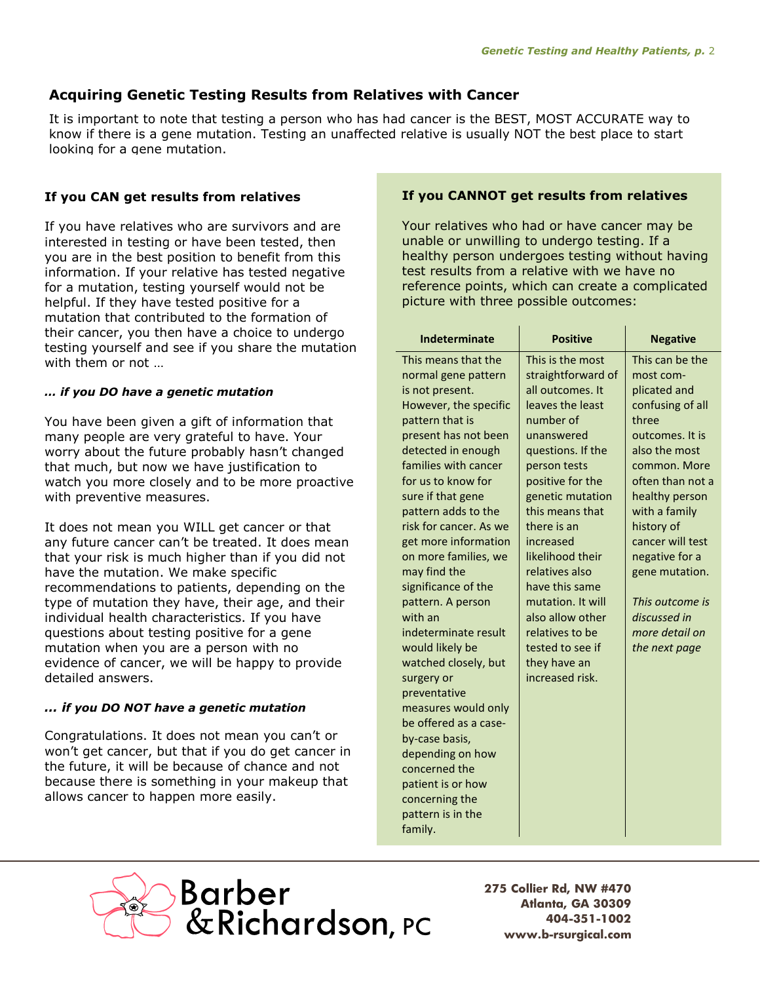# **Acquiring Genetic Testing Results from Relatives with Cancer**

It is important to note that testing a person who has had cancer is the BEST, MOST ACCURATE way to know if there is a gene mutation. Testing an unaffected relative is usually NOT the best place to start looking for a gene mutation.

### **If you CAN get results from relatives**

If you have relatives who are survivors and are interested in testing or have been tested, then you are in the best position to benefit from this information. If your relative has tested negative for a mutation, testing yourself would not be helpful. If they have tested positive for a mutation that contributed to the formation of their cancer, you then have a choice to undergo testing yourself and see if you share the mutation with them or not …

#### *… if you DO have a genetic mutation*

You have been given a gift of information that many people are very grateful to have. Your worry about the future probably hasn't changed that much, but now we have justification to watch you more closely and to be more proactive with preventive measures.

It does not mean you WILL get cancer or that any future cancer can't be treated. It does mean that your risk is much higher than if you did not have the mutation. We make specific recommendations to patients, depending on the type of mutation they have, their age, and their individual health characteristics. If you have questions about testing positive for a gene mutation when you are a person with no evidence of cancer, we will be happy to provide detailed answers.

#### *… if you DO NOT have a genetic mutation*

Congratulations. It does not mean you can't or won't get cancer, but that if you do get cancer in the future, it will be because of chance and not because there is something in your makeup that allows cancer to happen more easily.

#### **If you CANNOT get results from relatives**

Your relatives who had or have cancer may be unable or unwilling to undergo testing. If a healthy person undergoes testing without having test results from a relative with we have no reference points, which can create a complicated picture with three possible outcomes:

| <b>Indeterminate</b>                         | <b>Positive</b>    | <b>Negative</b>  |
|----------------------------------------------|--------------------|------------------|
| This means that the                          | This is the most   | This can be the  |
| normal gene pattern                          | straightforward of | most com-        |
| is not present.                              | all outcomes. It   | plicated and     |
| However, the specific                        | leaves the least   | confusing of all |
| pattern that is                              | number of          | three            |
| present has not been                         | unanswered         | outcomes. It is  |
| detected in enough                           | questions. If the  | also the most    |
| families with cancer                         | person tests       | common. More     |
| for us to know for                           | positive for the   | often than not a |
| sure if that gene                            | genetic mutation   | healthy person   |
| pattern adds to the                          | this means that    | with a family    |
| risk for cancer. As we                       | there is an        | history of       |
| get more information                         | increased          | cancer will test |
| on more families, we                         | likelihood their   | negative for a   |
| may find the                                 | relatives also     | gene mutation.   |
| significance of the                          | have this same     |                  |
| pattern. A person                            | mutation. It will  | This outcome is  |
| with an                                      | also allow other   | discussed in     |
| indeterminate result                         | relatives to be    | more detail on   |
| would likely be                              | tested to see if   | the next page    |
| watched closely, but                         | they have an       |                  |
| surgery or                                   | increased risk.    |                  |
| preventative                                 |                    |                  |
| measures would only<br>be offered as a case- |                    |                  |
| by-case basis,                               |                    |                  |
| depending on how                             |                    |                  |
| concerned the                                |                    |                  |
| patient is or how                            |                    |                  |
| concerning the                               |                    |                  |
| pattern is in the                            |                    |                  |



**275 Collier Rd, NW #470 Atlanta, GA 30309 404-351-1002 www.b-rsurgical.com**

family.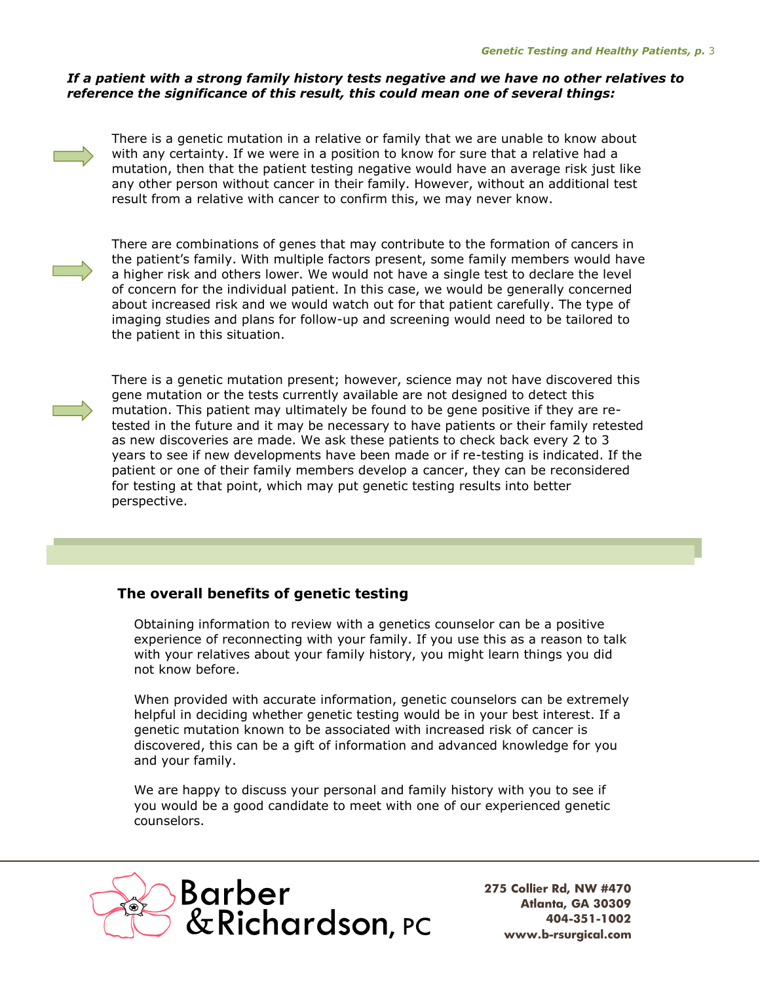#### *If a patient with a strong family history tests negative and we have no other relatives to reference the significance of this result, this could mean one of several things:*



There is a genetic mutation in a relative or family that we are unable to know about with any certainty. If we were in a position to know for sure that a relative had a mutation, then that the patient testing negative would have an average risk just like any other person without cancer in their family. However, without an additional test result from a relative with cancer to confirm this, we may never know.



There are combinations of genes that may contribute to the formation of cancers in the patient's family. With multiple factors present, some family members would have a higher risk and others lower. We would not have a single test to declare the level of concern for the individual patient. In this case, we would be generally concerned about increased risk and we would watch out for that patient carefully. The type of imaging studies and plans for follow-up and screening would need to be tailored to the patient in this situation.



There is a genetic mutation present; however, science may not have discovered this gene mutation or the tests currently available are not designed to detect this mutation. This patient may ultimately be found to be gene positive if they are retested in the future and it may be necessary to have patients or their family retested as new discoveries are made. We ask these patients to check back every 2 to 3 years to see if new developments have been made or if re-testing is indicated. If the patient or one of their family members develop a cancer, they can be reconsidered for testing at that point, which may put genetic testing results into better perspective.

# **The overall benefits of genetic testing**

Obtaining information to review with a genetics counselor can be a positive experience of reconnecting with your family. If you use this as a reason to talk with your relatives about your family history, you might learn things you did not know before.

When provided with accurate information, genetic counselors can be extremely helpful in deciding whether genetic testing would be in your best interest. If a genetic mutation known to be associated with increased risk of cancer is discovered, this can be a gift of information and advanced knowledge for you and your family.

We are happy to discuss your personal and family history with you to see if you would be a good candidate to meet with one of our experienced genetic counselors.



**275 Collier Rd, NW #470 Atlanta, GA 30309 404-351-1002 www.b-rsurgical.com**